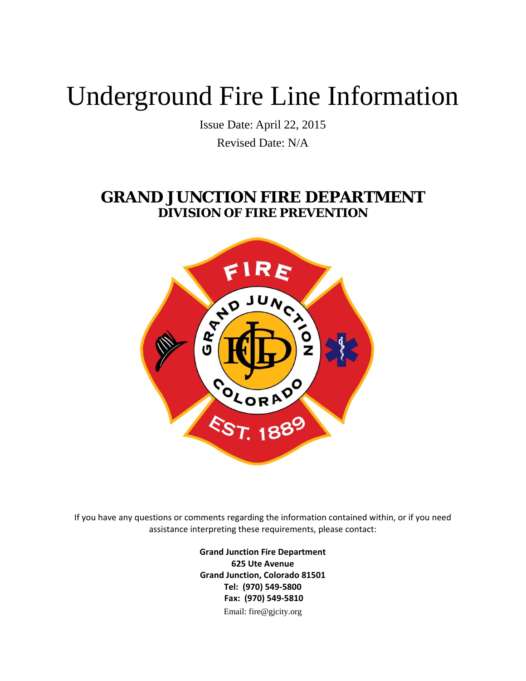## Underground Fire Line Information

Issue Date: April 22, 2015 Revised Date: N/A

## **GRAND JUNCTION FIRE DEPARTMENT DIVISION OF FIRE PREVENTION**



If you have any questions or comments regarding the information contained within, or if you need assistance interpreting these requirements, please contact:

> **Grand Junction Fire Department 625 Ute Avenue Grand Junction, Colorado 81501 Tel: (970) 549‐5800 Fax: (970) 549‐5810** Email: fire@gjcity.org